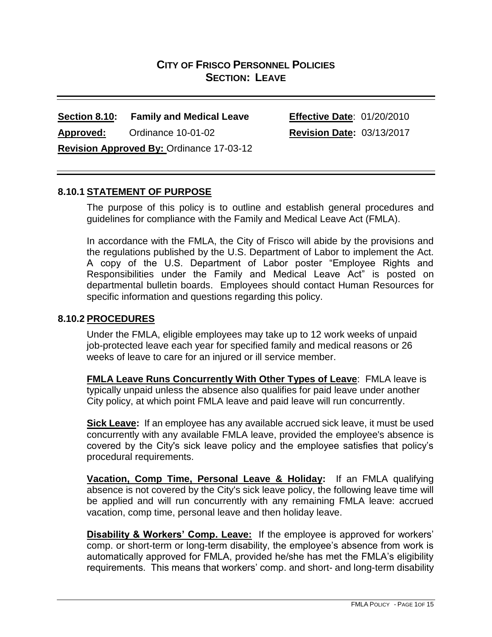# **CITY OF FRISCO PERSONNEL POLICIES SECTION: LEAVE**

### **Section 8.10: Family and Medical Leave Effective Date**: 01/20/2010

**Approved:** Ordinance 10-01-02 **Revision Date:** 03/13/2017

**Revision Approved By:** Ordinance 17-03-12

# **8.10.1 STATEMENT OF PURPOSE**

The purpose of this policy is to outline and establish general procedures and guidelines for compliance with the Family and Medical Leave Act (FMLA).

In accordance with the FMLA, the City of Frisco will abide by the provisions and the regulations published by the U.S. Department of Labor to implement the Act. A copy of the U.S. Department of Labor poster "Employee Rights and Responsibilities under the Family and Medical Leave Act" is posted on departmental bulletin boards. Employees should contact Human Resources for specific information and questions regarding this policy.

#### **8.10.2 PROCEDURES**

Under the FMLA, eligible employees may take up to 12 work weeks of unpaid job-protected leave each year for specified family and medical reasons or 26 weeks of leave to care for an injured or ill service member.

**FMLA Leave Runs Concurrently With Other Types of Leave**: FMLA leave is typically unpaid unless the absence also qualifies for paid leave under another City policy, at which point FMLA leave and paid leave will run concurrently.

**Sick Leave:** If an employee has any available accrued sick leave, it must be used concurrently with any available FMLA leave, provided the employee's absence is covered by the City's sick leave policy and the employee satisfies that policy's procedural requirements.

**Vacation, Comp Time, Personal Leave & Holiday:** If an FMLA qualifying absence is not covered by the City's sick leave policy, the following leave time will be applied and will run concurrently with any remaining FMLA leave: accrued vacation, comp time, personal leave and then holiday leave.

**Disability & Workers' Comp. Leave:** If the employee is approved for workers' comp. or short-term or long-term disability, the employee's absence from work is automatically approved for FMLA, provided he/she has met the FMLA's eligibility requirements. This means that workers' comp. and short- and long-term disability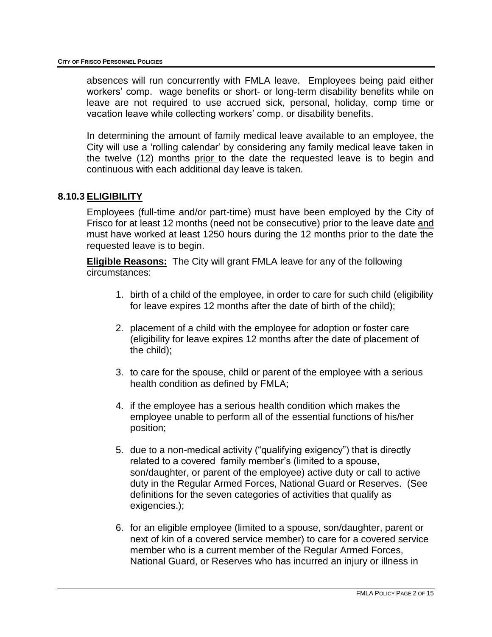absences will run concurrently with FMLA leave. Employees being paid either workers' comp. wage benefits or short- or long-term disability benefits while on leave are not required to use accrued sick, personal, holiday, comp time or vacation leave while collecting workers' comp. or disability benefits.

In determining the amount of family medical leave available to an employee, the City will use a 'rolling calendar' by considering any family medical leave taken in the twelve (12) months prior to the date the requested leave is to begin and continuous with each additional day leave is taken.

#### **8.10.3 ELIGIBILITY**

Employees (full-time and/or part-time) must have been employed by the City of Frisco for at least 12 months (need not be consecutive) prior to the leave date and must have worked at least 1250 hours during the 12 months prior to the date the requested leave is to begin.

**Eligible Reasons:** The City will grant FMLA leave for any of the following circumstances:

- 1. birth of a child of the employee, in order to care for such child (eligibility for leave expires 12 months after the date of birth of the child);
- 2. placement of a child with the employee for adoption or foster care (eligibility for leave expires 12 months after the date of placement of the child);
- 3. to care for the spouse, child or parent of the employee with a serious health condition as defined by FMLA;
- 4. if the employee has a serious health condition which makes the employee unable to perform all of the essential functions of his/her position;
- 5. due to a non-medical activity ("qualifying exigency") that is directly related to a covered family member's (limited to a spouse, son/daughter, or parent of the employee) active duty or call to active duty in the Regular Armed Forces, National Guard or Reserves. (See definitions for the seven categories of activities that qualify as exigencies.);
- 6. for an eligible employee (limited to a spouse, son/daughter, parent or next of kin of a covered service member) to care for a covered service member who is a current member of the Regular Armed Forces, National Guard, or Reserves who has incurred an injury or illness in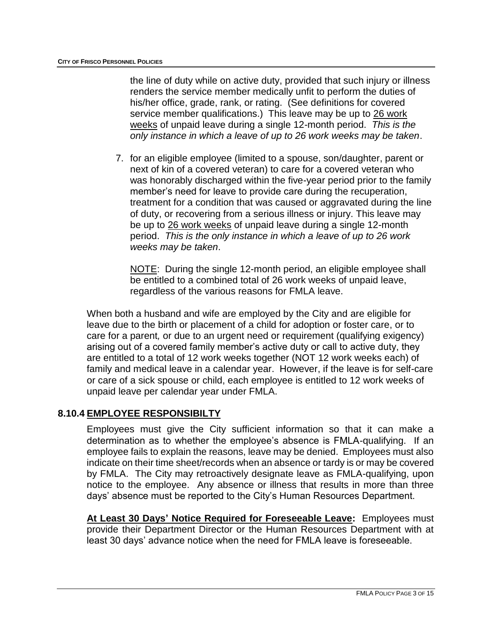the line of duty while on active duty, provided that such injury or illness renders the service member medically unfit to perform the duties of his/her office, grade, rank, or rating. (See definitions for covered service member qualifications.) This leave may be up to 26 work weeks of unpaid leave during a single 12-month period. *This is the only instance in which a leave of up to 26 work weeks may be taken*.

7. for an eligible employee (limited to a spouse, son/daughter, parent or next of kin of a covered veteran) to care for a covered veteran who was honorably discharged within the five-year period prior to the family member's need for leave to provide care during the recuperation, treatment for a condition that was caused or aggravated during the line of duty, or recovering from a serious illness or injury. This leave may be up to 26 work weeks of unpaid leave during a single 12-month period. *This is the only instance in which a leave of up to 26 work weeks may be taken*.

NOTE: During the single 12-month period, an eligible employee shall be entitled to a combined total of 26 work weeks of unpaid leave, regardless of the various reasons for FMLA leave.

When both a husband and wife are employed by the City and are eligible for leave due to the birth or placement of a child for adoption or foster care, or to care for a parent*,* or due to an urgent need or requirement (qualifying exigency) arising out of a covered family member's active duty or call to active duty, they are entitled to a total of 12 work weeks together (NOT 12 work weeks each) of family and medical leave in a calendar year. However, if the leave is for self-care or care of a sick spouse or child, each employee is entitled to 12 work weeks of unpaid leave per calendar year under FMLA.

#### **8.10.4 EMPLOYEE RESPONSIBILTY**

Employees must give the City sufficient information so that it can make a determination as to whether the employee's absence is FMLA-qualifying. If an employee fails to explain the reasons, leave may be denied. Employees must also indicate on their time sheet/records when an absence or tardy is or may be covered by FMLA. The City may retroactively designate leave as FMLA-qualifying, upon notice to the employee. Any absence or illness that results in more than three days' absence must be reported to the City's Human Resources Department.

**At Least 30 Days' Notice Required for Foreseeable Leave:** Employees must provide their Department Director or the Human Resources Department with at least 30 days' advance notice when the need for FMLA leave is foreseeable.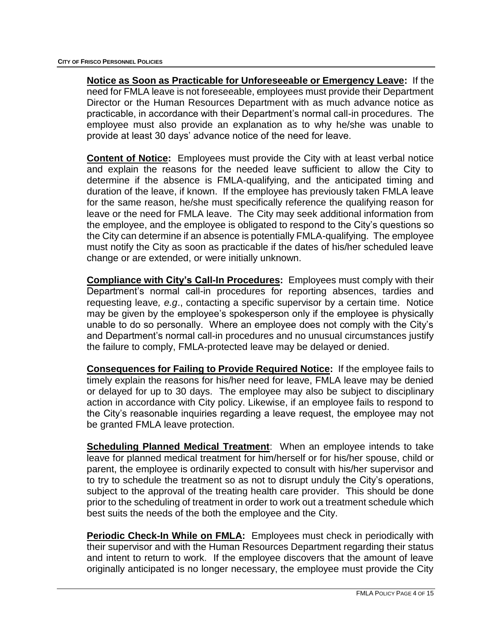**Notice as Soon as Practicable for Unforeseeable or Emergency Leave:** If the need for FMLA leave is not foreseeable, employees must provide their Department Director or the Human Resources Department with as much advance notice as practicable, in accordance with their Department's normal call-in procedures. The employee must also provide an explanation as to why he/she was unable to provide at least 30 days' advance notice of the need for leave.

**Content of Notice:** Employees must provide the City with at least verbal notice and explain the reasons for the needed leave sufficient to allow the City to determine if the absence is FMLA-qualifying, and the anticipated timing and duration of the leave, if known. If the employee has previously taken FMLA leave for the same reason, he/she must specifically reference the qualifying reason for leave or the need for FMLA leave. The City may seek additional information from the employee, and the employee is obligated to respond to the City's questions so the City can determine if an absence is potentially FMLA-qualifying. The employee must notify the City as soon as practicable if the dates of his/her scheduled leave change or are extended, or were initially unknown.

**Compliance with City's Call-In Procedures:** Employees must comply with their Department's normal call-in procedures for reporting absences, tardies and requesting leave*, e.g*., contacting a specific supervisor by a certain time. Notice may be given by the employee's spokesperson only if the employee is physically unable to do so personally. Where an employee does not comply with the City's and Department's normal call-in procedures and no unusual circumstances justify the failure to comply, FMLA-protected leave may be delayed or denied.

**Consequences for Failing to Provide Required Notice:** If the employee fails to timely explain the reasons for his/her need for leave, FMLA leave may be denied or delayed for up to 30 days. The employee may also be subject to disciplinary action in accordance with City policy. Likewise, if an employee fails to respond to the City's reasonable inquiries regarding a leave request, the employee may not be granted FMLA leave protection.

**Scheduling Planned Medical Treatment:** When an employee intends to take leave for planned medical treatment for him/herself or for his/her spouse, child or parent, the employee is ordinarily expected to consult with his/her supervisor and to try to schedule the treatment so as not to disrupt unduly the City's operations, subject to the approval of the treating health care provider. This should be done prior to the scheduling of treatment in order to work out a treatment schedule which best suits the needs of the both the employee and the City.

**Periodic Check-In While on FMLA:** Employees must check in periodically with their supervisor and with the Human Resources Department regarding their status and intent to return to work. If the employee discovers that the amount of leave originally anticipated is no longer necessary, the employee must provide the City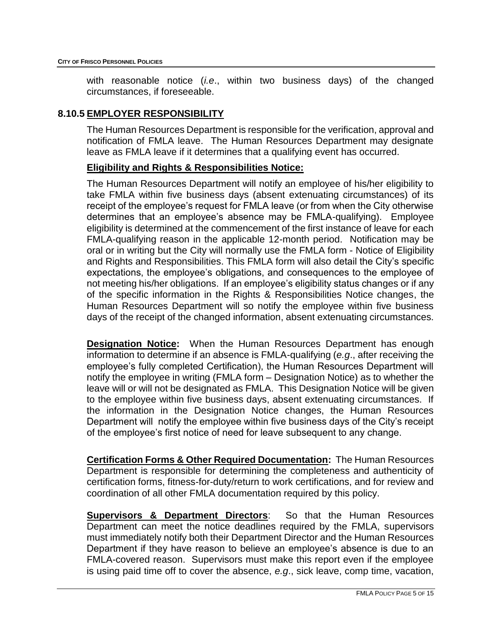with reasonable notice (*i.e*., within two business days) of the changed circumstances, if foreseeable.

#### **8.10.5 EMPLOYER RESPONSIBILITY**

The Human Resources Department is responsible for the verification, approval and notification of FMLA leave. The Human Resources Department may designate leave as FMLA leave if it determines that a qualifying event has occurred.

#### **Eligibility and Rights & Responsibilities Notice:**

The Human Resources Department will notify an employee of his/her eligibility to take FMLA within five business days (absent extenuating circumstances) of its receipt of the employee's request for FMLA leave (or from when the City otherwise determines that an employee's absence may be FMLA-qualifying). Employee eligibility is determined at the commencement of the first instance of leave for each FMLA-qualifying reason in the applicable 12-month period. Notification may be oral or in writing but the City will normally use the FMLA form - Notice of Eligibility and Rights and Responsibilities. This FMLA form will also detail the City's specific expectations, the employee's obligations, and consequences to the employee of not meeting his/her obligations. If an employee's eligibility status changes or if any of the specific information in the Rights & Responsibilities Notice changes, the Human Resources Department will so notify the employee within five business days of the receipt of the changed information, absent extenuating circumstances.

**Designation Notice:** When the Human Resources Department has enough information to determine if an absence is FMLA-qualifying (*e.g*., after receiving the employee's fully completed Certification), the Human Resources Department will notify the employee in writing (FMLA form – Designation Notice) as to whether the leave will or will not be designated as FMLA. This Designation Notice will be given to the employee within five business days, absent extenuating circumstances. If the information in the Designation Notice changes, the Human Resources Department will notify the employee within five business days of the City's receipt of the employee's first notice of need for leave subsequent to any change.

**Certification Forms & Other Required Documentation:** The Human Resources Department is responsible for determining the completeness and authenticity of certification forms, fitness-for-duty/return to work certifications, and for review and coordination of all other FMLA documentation required by this policy.

**Supervisors & Department Directors**: So that the Human Resources Department can meet the notice deadlines required by the FMLA, supervisors must immediately notify both their Department Director and the Human Resources Department if they have reason to believe an employee's absence is due to an FMLA-covered reason. Supervisors must make this report even if the employee is using paid time off to cover the absence, *e.g*., sick leave, comp time, vacation,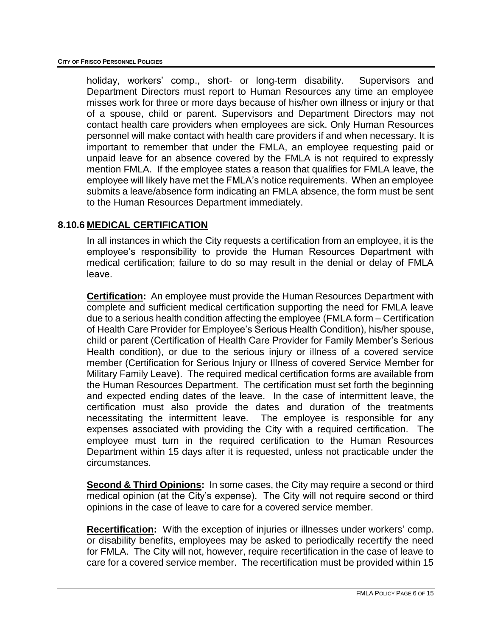holiday, workers' comp., short- or long-term disability. Supervisors and Department Directors must report to Human Resources any time an employee misses work for three or more days because of his/her own illness or injury or that of a spouse, child or parent. Supervisors and Department Directors may not contact health care providers when employees are sick. Only Human Resources personnel will make contact with health care providers if and when necessary. It is important to remember that under the FMLA, an employee requesting paid or unpaid leave for an absence covered by the FMLA is not required to expressly mention FMLA. If the employee states a reason that qualifies for FMLA leave, the employee will likely have met the FMLA's notice requirements. When an employee submits a leave/absence form indicating an FMLA absence, the form must be sent to the Human Resources Department immediately.

# **8.10.6 MEDICAL CERTIFICATION**

In all instances in which the City requests a certification from an employee, it is the employee's responsibility to provide the Human Resources Department with medical certification; failure to do so may result in the denial or delay of FMLA leave.

**Certification:** An employee must provide the Human Resources Department with complete and sufficient medical certification supporting the need for FMLA leave due to a serious health condition affecting the employee (FMLA form – Certification of Health Care Provider for Employee's Serious Health Condition), his/her spouse, child or parent (Certification of Health Care Provider for Family Member's Serious Health condition), or due to the serious injury or illness of a covered service member (Certification for Serious Injury or Illness of covered Service Member for Military Family Leave). The required medical certification forms are available from the Human Resources Department. The certification must set forth the beginning and expected ending dates of the leave. In the case of intermittent leave, the certification must also provide the dates and duration of the treatments necessitating the intermittent leave. The employee is responsible for any expenses associated with providing the City with a required certification. The employee must turn in the required certification to the Human Resources Department within 15 days after it is requested, unless not practicable under the circumstances.

**Second & Third Opinions:** In some cases, the City may require a second or third medical opinion (at the City's expense). The City will not require second or third opinions in the case of leave to care for a covered service member.

**Recertification:** With the exception of injuries or illnesses under workers' comp. or disability benefits, employees may be asked to periodically recertify the need for FMLA. The City will not, however, require recertification in the case of leave to care for a covered service member. The recertification must be provided within 15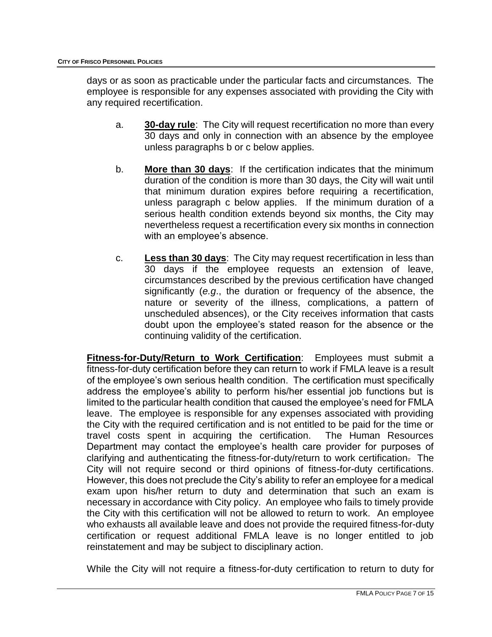days or as soon as practicable under the particular facts and circumstances. The employee is responsible for any expenses associated with providing the City with any required recertification.

- a. **30-day rule**: The City will request recertification no more than every 30 days and only in connection with an absence by the employee unless paragraphs b or c below applies.
- b. **More than 30 days**: If the certification indicates that the minimum duration of the condition is more than 30 days, the City will wait until that minimum duration expires before requiring a recertification, unless paragraph c below applies. If the minimum duration of a serious health condition extends beyond six months, the City may nevertheless request a recertification every six months in connection with an employee's absence.
- c. **Less than 30 days**: The City may request recertification in less than 30 days if the employee requests an extension of leave, circumstances described by the previous certification have changed significantly (*e.g*., the duration or frequency of the absence, the nature or severity of the illness, complications, a pattern of unscheduled absences), or the City receives information that casts doubt upon the employee's stated reason for the absence or the continuing validity of the certification.

**Fitness-for-Duty/Return to Work Certification**: Employees must submit a fitness-for-duty certification before they can return to work if FMLA leave is a result of the employee's own serious health condition. The certification must specifically address the employee's ability to perform his/her essential job functions but is limited to the particular health condition that caused the employee's need for FMLA leave. The employee is responsible for any expenses associated with providing the City with the required certification and is not entitled to be paid for the time or travel costs spent in acquiring the certification. The Human Resources Department may contact the employee's health care provider for purposes of clarifying and authenticating the fitness-for-duty/return to work certification. The City will not require second or third opinions of fitness-for-duty certifications. However, this does not preclude the City's ability to refer an employee for a medical exam upon his/her return to duty and determination that such an exam is necessary in accordance with City policy. An employee who fails to timely provide the City with this certification will not be allowed to return to work. An employee who exhausts all available leave and does not provide the required fitness-for-duty certification or request additional FMLA leave is no longer entitled to job reinstatement and may be subject to disciplinary action.

While the City will not require a fitness-for-duty certification to return to duty for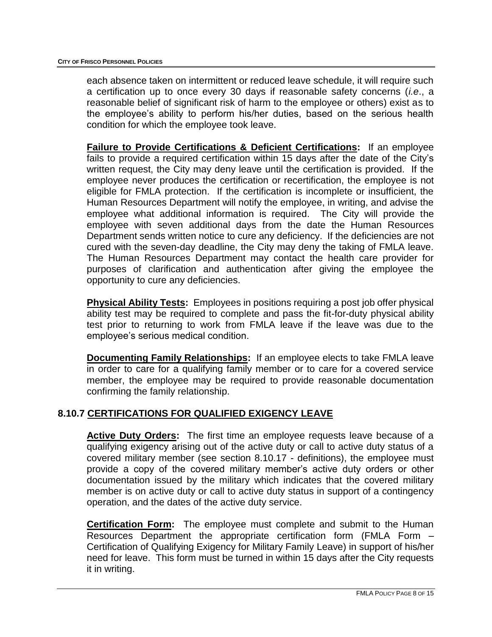each absence taken on intermittent or reduced leave schedule, it will require such a certification up to once every 30 days if reasonable safety concerns (*i.e*., a reasonable belief of significant risk of harm to the employee or others) exist as to the employee's ability to perform his/her duties, based on the serious health condition for which the employee took leave.

**Failure to Provide Certifications & Deficient Certifications:** If an employee fails to provide a required certification within 15 days after the date of the City's written request, the City may deny leave until the certification is provided. If the employee never produces the certification or recertification, the employee is not eligible for FMLA protection. If the certification is incomplete or insufficient, the Human Resources Department will notify the employee, in writing, and advise the employee what additional information is required. The City will provide the employee with seven additional days from the date the Human Resources Department sends written notice to cure any deficiency. If the deficiencies are not cured with the seven-day deadline, the City may deny the taking of FMLA leave. The Human Resources Department may contact the health care provider for purposes of clarification and authentication after giving the employee the opportunity to cure any deficiencies.

**Physical Ability Tests:** Employees in positions requiring a post job offer physical ability test may be required to complete and pass the fit-for-duty physical ability test prior to returning to work from FMLA leave if the leave was due to the employee's serious medical condition.

**Documenting Family Relationships:** If an employee elects to take FMLA leave in order to care for a qualifying family member or to care for a covered service member, the employee may be required to provide reasonable documentation confirming the family relationship.

#### **8.10.7 CERTIFICATIONS FOR QUALIFIED EXIGENCY LEAVE**

**Active Duty Orders:** The first time an employee requests leave because of a qualifying exigency arising out of the active duty or call to active duty status of a covered military member (see section 8.10.17 - definitions), the employee must provide a copy of the covered military member's active duty orders or other documentation issued by the military which indicates that the covered military member is on active duty or call to active duty status in support of a contingency operation, and the dates of the active duty service.

**Certification Form:** The employee must complete and submit to the Human Resources Department the appropriate certification form (FMLA Form – Certification of Qualifying Exigency for Military Family Leave) in support of his/her need for leave. This form must be turned in within 15 days after the City requests it in writing.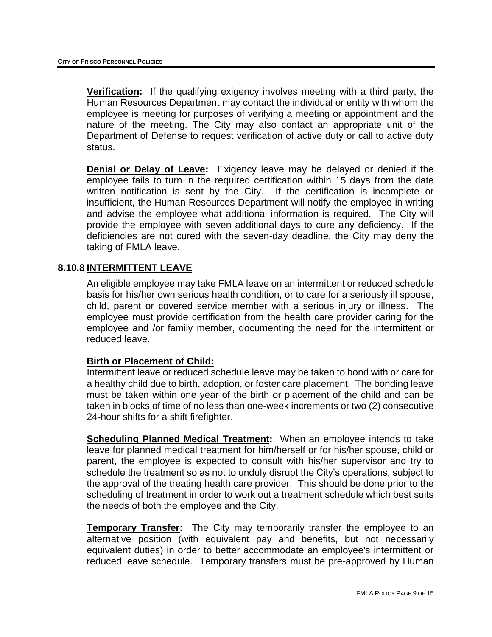**Verification:** If the qualifying exigency involves meeting with a third party, the Human Resources Department may contact the individual or entity with whom the employee is meeting for purposes of verifying a meeting or appointment and the nature of the meeting. The City may also contact an appropriate unit of the Department of Defense to request verification of active duty or call to active duty status.

**Denial or Delay of Leave:** Exigency leave may be delayed or denied if the employee fails to turn in the required certification within 15 days from the date written notification is sent by the City. If the certification is incomplete or insufficient, the Human Resources Department will notify the employee in writing and advise the employee what additional information is required. The City will provide the employee with seven additional days to cure any deficiency. If the deficiencies are not cured with the seven-day deadline, the City may deny the taking of FMLA leave.

## **8.10.8 INTERMITTENT LEAVE**

An eligible employee may take FMLA leave on an intermittent or reduced schedule basis for his/her own serious health condition, or to care for a seriously ill spouse, child, parent or covered service member with a serious injury or illness. The employee must provide certification from the health care provider caring for the employee and /or family member, documenting the need for the intermittent or reduced leave.

#### **Birth or Placement of Child:**

Intermittent leave or reduced schedule leave may be taken to bond with or care for a healthy child due to birth, adoption, or foster care placement. The bonding leave must be taken within one year of the birth or placement of the child and can be taken in blocks of time of no less than one-week increments or two (2) consecutive 24-hour shifts for a shift firefighter.

**Scheduling Planned Medical Treatment:** When an employee intends to take leave for planned medical treatment for him/herself or for his/her spouse, child or parent, the employee is expected to consult with his/her supervisor and try to schedule the treatment so as not to unduly disrupt the City's operations, subject to the approval of the treating health care provider. This should be done prior to the scheduling of treatment in order to work out a treatment schedule which best suits the needs of both the employee and the City.

**Temporary Transfer:** The City may temporarily transfer the employee to an alternative position (with equivalent pay and benefits, but not necessarily equivalent duties) in order to better accommodate an employee's intermittent or reduced leave schedule. Temporary transfers must be pre-approved by Human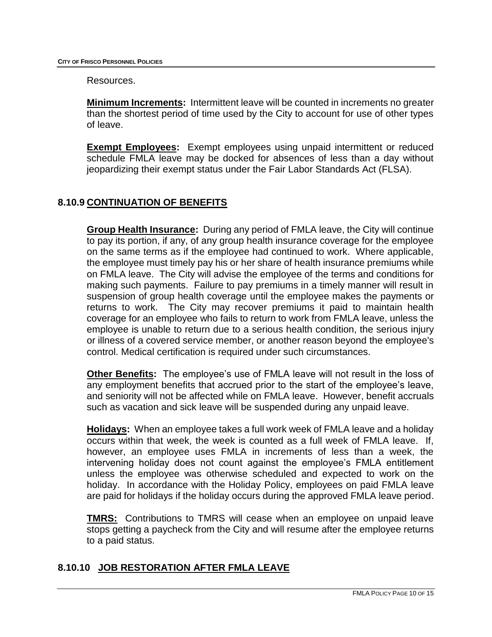Resources.

**Minimum Increments:** Intermittent leave will be counted in increments no greater than the shortest period of time used by the City to account for use of other types of leave.

**Exempt Employees:** Exempt employees using unpaid intermittent or reduced schedule FMLA leave may be docked for absences of less than a day without jeopardizing their exempt status under the Fair Labor Standards Act (FLSA).

# **8.10.9 CONTINUATION OF BENEFITS**

**Group Health Insurance:** During any period of FMLA leave, the City will continue to pay its portion, if any, of any group health insurance coverage for the employee on the same terms as if the employee had continued to work. Where applicable, the employee must timely pay his or her share of health insurance premiums while on FMLA leave. The City will advise the employee of the terms and conditions for making such payments. Failure to pay premiums in a timely manner will result in suspension of group health coverage until the employee makes the payments or returns to work. The City may recover premiums it paid to maintain health coverage for an employee who fails to return to work from FMLA leave, unless the employee is unable to return due to a serious health condition, the serious injury or illness of a covered service member, or another reason beyond the employee's control. Medical certification is required under such circumstances.

**Other Benefits:** The employee's use of FMLA leave will not result in the loss of any employment benefits that accrued prior to the start of the employee's leave, and seniority will not be affected while on FMLA leave. However, benefit accruals such as vacation and sick leave will be suspended during any unpaid leave.

**Holidays:** When an employee takes a full work week of FMLA leave and a holiday occurs within that week, the week is counted as a full week of FMLA leave. If, however, an employee uses FMLA in increments of less than a week, the intervening holiday does not count against the employee's FMLA entitlement unless the employee was otherwise scheduled and expected to work on the holiday. In accordance with the Holiday Policy, employees on paid FMLA leave are paid for holidays if the holiday occurs during the approved FMLA leave period.

**TMRS:** Contributions to TMRS will cease when an employee on unpaid leave stops getting a paycheck from the City and will resume after the employee returns to a paid status.

#### **8.10.10 JOB RESTORATION AFTER FMLA LEAVE**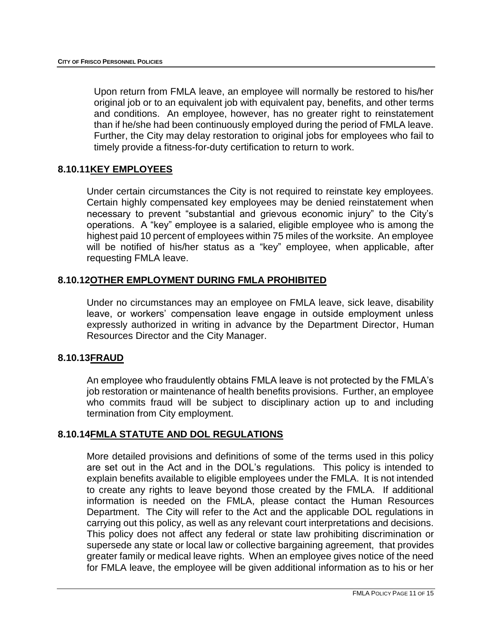Upon return from FMLA leave, an employee will normally be restored to his/her original job or to an equivalent job with equivalent pay, benefits, and other terms and conditions. An employee, however, has no greater right to reinstatement than if he/she had been continuously employed during the period of FMLA leave. Further, the City may delay restoration to original jobs for employees who fail to timely provide a fitness-for-duty certification to return to work.

#### **8.10.11KEY EMPLOYEES**

Under certain circumstances the City is not required to reinstate key employees. Certain highly compensated key employees may be denied reinstatement when necessary to prevent "substantial and grievous economic injury" to the City's operations. A "key" employee is a salaried, eligible employee who is among the highest paid 10 percent of employees within 75 miles of the worksite. An employee will be notified of his/her status as a "key" employee, when applicable, after requesting FMLA leave.

#### **8.10.12OTHER EMPLOYMENT DURING FMLA PROHIBITED**

Under no circumstances may an employee on FMLA leave, sick leave, disability leave, or workers' compensation leave engage in outside employment unless expressly authorized in writing in advance by the Department Director, Human Resources Director and the City Manager.

#### **8.10.13FRAUD**

An employee who fraudulently obtains FMLA leave is not protected by the FMLA's job restoration or maintenance of health benefits provisions. Further, an employee who commits fraud will be subject to disciplinary action up to and including termination from City employment.

#### **8.10.14FMLA STATUTE AND DOL REGULATIONS**

More detailed provisions and definitions of some of the terms used in this policy are set out in the Act and in the DOL's regulations. This policy is intended to explain benefits available to eligible employees under the FMLA. It is not intended to create any rights to leave beyond those created by the FMLA. If additional information is needed on the FMLA, please contact the Human Resources Department. The City will refer to the Act and the applicable DOL regulations in carrying out this policy, as well as any relevant court interpretations and decisions. This policy does not affect any federal or state law prohibiting discrimination or supersede any state or local law or collective bargaining agreement, that provides greater family or medical leave rights. When an employee gives notice of the need for FMLA leave, the employee will be given additional information as to his or her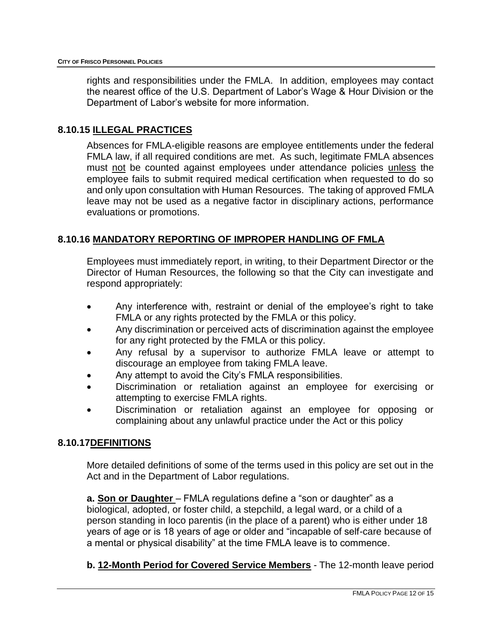rights and responsibilities under the FMLA. In addition, employees may contact the nearest office of the U.S. Department of Labor's Wage & Hour Division or the Department of Labor's website for more information.

## **8.10.15 ILLEGAL PRACTICES**

Absences for FMLA-eligible reasons are employee entitlements under the federal FMLA law, if all required conditions are met. As such, legitimate FMLA absences must not be counted against employees under attendance policies unless the employee fails to submit required medical certification when requested to do so and only upon consultation with Human Resources. The taking of approved FMLA leave may not be used as a negative factor in disciplinary actions, performance evaluations or promotions.

## **8.10.16 MANDATORY REPORTING OF IMPROPER HANDLING OF FMLA**

Employees must immediately report, in writing, to their Department Director or the Director of Human Resources, the following so that the City can investigate and respond appropriately:

- Any interference with, restraint or denial of the employee's right to take FMLA or any rights protected by the FMLA or this policy.
- Any discrimination or perceived acts of discrimination against the employee for any right protected by the FMLA or this policy.
- Any refusal by a supervisor to authorize FMLA leave or attempt to discourage an employee from taking FMLA leave.
- Any attempt to avoid the City's FMLA responsibilities.
- Discrimination or retaliation against an employee for exercising or attempting to exercise FMLA rights.
- Discrimination or retaliation against an employee for opposing or complaining about any unlawful practice under the Act or this policy

#### **8.10.17DEFINITIONS**

More detailed definitions of some of the terms used in this policy are set out in the Act and in the Department of Labor regulations.

**a. Son or Daughter** – FMLA regulations define a "son or daughter" as a biological, adopted, or foster child, a stepchild, a legal ward, or a child of a person standing in loco parentis (in the place of a parent) who is either under 18 years of age or is 18 years of age or older and "incapable of self-care because of a mental or physical disability" at the time FMLA leave is to commence.

**b. 12-Month Period for Covered Service Members** - The 12-month leave period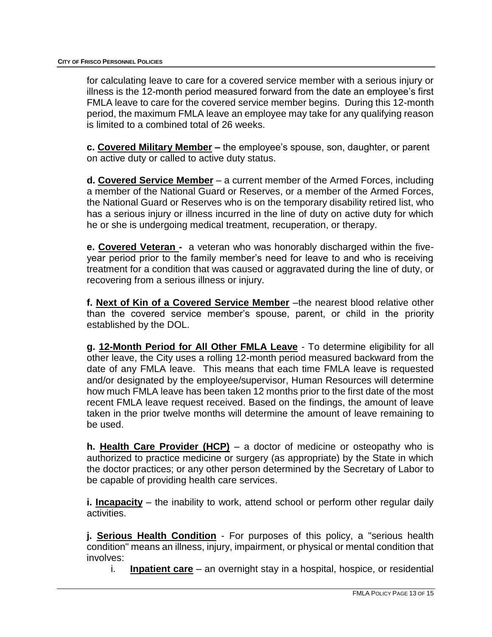for calculating leave to care for a covered service member with a serious injury or illness is the 12-month period measured forward from the date an employee's first FMLA leave to care for the covered service member begins. During this 12-month period, the maximum FMLA leave an employee may take for any qualifying reason is limited to a combined total of 26 weeks.

**c. Covered Military Member –** the employee's spouse, son, daughter, or parent on active duty or called to active duty status.

**d. Covered Service Member** – a current member of the Armed Forces, including a member of the National Guard or Reserves, or a member of the Armed Forces, the National Guard or Reserves who is on the temporary disability retired list, who has a serious injury or illness incurred in the line of duty on active duty for which he or she is undergoing medical treatment, recuperation, or therapy.

**e. Covered Veteran -** a veteran who was honorably discharged within the fiveyear period prior to the family member's need for leave to and who is receiving treatment for a condition that was caused or aggravated during the line of duty, or recovering from a serious illness or injury.

**f. Next of Kin of a Covered Service Member** –the nearest blood relative other than the covered service member's spouse, parent, or child in the priority established by the DOL.

**g. 12-Month Period for All Other FMLA Leave** - To determine eligibility for all other leave, the City uses a rolling 12-month period measured backward from the date of any FMLA leave. This means that each time FMLA leave is requested and/or designated by the employee/supervisor, Human Resources will determine how much FMLA leave has been taken 12 months prior to the first date of the most recent FMLA leave request received. Based on the findings, the amount of leave taken in the prior twelve months will determine the amount of leave remaining to be used.

**h. Health Care Provider (HCP)** – a doctor of medicine or osteopathy who is authorized to practice medicine or surgery (as appropriate) by the State in which the doctor practices; or any other person determined by the Secretary of Labor to be capable of providing health care services.

**i. Incapacity** – the inability to work, attend school or perform other regular daily activities.

**j. Serious Health Condition** - For purposes of this policy, a "serious health condition" means an illness, injury, impairment, or physical or mental condition that involves:

i. **Inpatient care** – an overnight stay in a hospital, hospice, or residential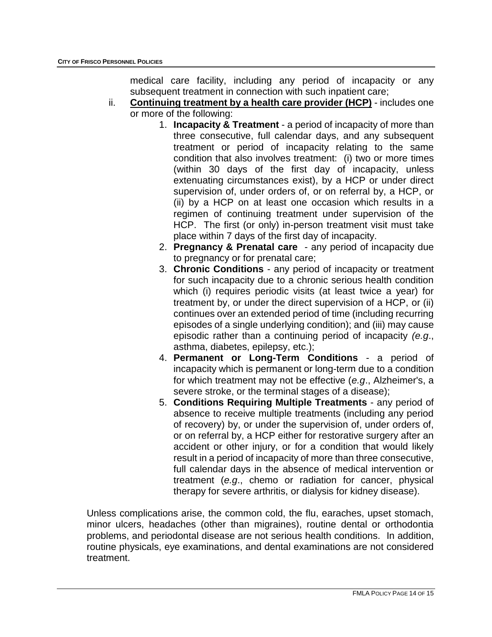medical care facility, including any period of incapacity or any subsequent treatment in connection with such inpatient care;

- ii. **Continuing treatment by a health care provider (HCP)** includes one or more of the following:
	- 1. **Incapacity & Treatment** a period of incapacity of more than three consecutive, full calendar days, and any subsequent treatment or period of incapacity relating to the same condition that also involves treatment: (i) two or more times (within 30 days of the first day of incapacity, unless extenuating circumstances exist), by a HCP or under direct supervision of, under orders of, or on referral by, a HCP, or (ii) by a HCP on at least one occasion which results in a regimen of continuing treatment under supervision of the HCP. The first (or only) in-person treatment visit must take place within 7 days of the first day of incapacity.
	- 2. **Pregnancy & Prenatal care** any period of incapacity due to pregnancy or for prenatal care;
	- 3. **Chronic Conditions** any period of incapacity or treatment for such incapacity due to a chronic serious health condition which (i) requires periodic visits (at least twice a year) for treatment by, or under the direct supervision of a HCP, or (ii) continues over an extended period of time (including recurring episodes of a single underlying condition); and (iii) may cause episodic rather than a continuing period of incapacity *(e.g*., asthma, diabetes, epilepsy, etc.);
	- 4. **Permanent or Long-Term Conditions** a period of incapacity which is permanent or long-term due to a condition for which treatment may not be effective (*e.g*., Alzheimer's, a severe stroke, or the terminal stages of a disease);
	- 5. **Conditions Requiring Multiple Treatments** any period of absence to receive multiple treatments (including any period of recovery) by, or under the supervision of, under orders of, or on referral by, a HCP either for restorative surgery after an accident or other injury, or for a condition that would likely result in a period of incapacity of more than three consecutive, full calendar days in the absence of medical intervention or treatment (*e.g*., chemo or radiation for cancer, physical therapy for severe arthritis, or dialysis for kidney disease).

Unless complications arise, the common cold, the flu, earaches, upset stomach, minor ulcers, headaches (other than migraines), routine dental or orthodontia problems, and periodontal disease are not serious health conditions. In addition, routine physicals, eye examinations, and dental examinations are not considered treatment.